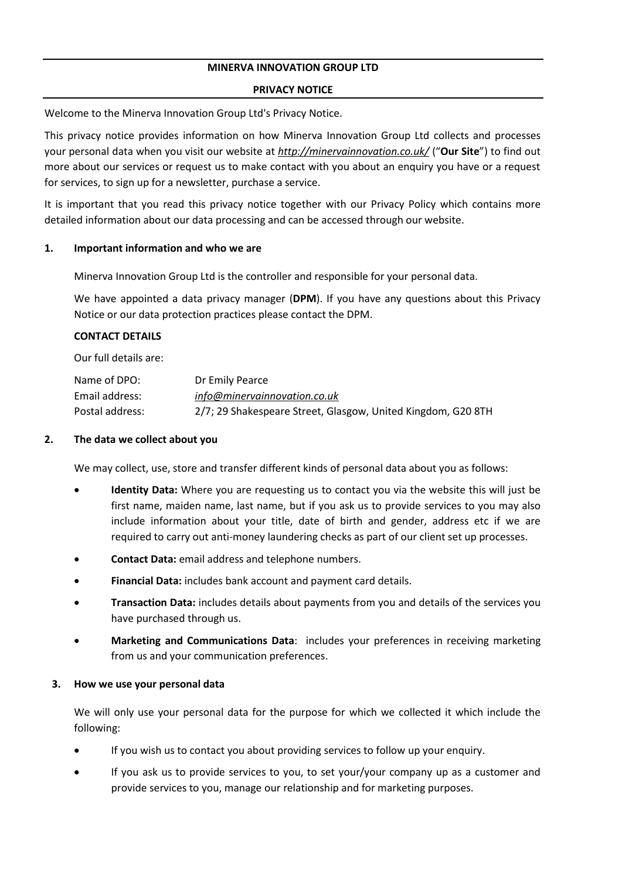### **MINERVA INNOVATION GROUP LTD**

#### **PRIVACY NOTICE**

Welcome to the Minerva Innovation Group Ltd's Privacy Notice.

This privacy notice provides information on how Minerva Innovation Group Ltd collects and processes your personal data when you visit our website at *<http://minervainnovation.co.uk/>* ("**Our Site**") to find out more about our services or request us to make contact with you about an enquiry you have or a request for services, to sign up for a newsletter, purchase a service.

It is important that you read this privacy notice together with our Privacy Policy which contains more detailed information about our data processing and can be accessed through our website.

#### **1. Important information and who we are**

Minerva Innovation Group Ltd is the controller and responsible for your personal data.

We have appointed a data privacy manager (**DPM**). If you have any questions about this Privacy Notice or our data protection practices please contact the DPM.

### **CONTACT DETAILS**

Our full details are:

| Name of DPO:    | Dr Emily Pearce                                              |
|-----------------|--------------------------------------------------------------|
| Email address:  | info@minervainnovation.co.uk                                 |
| Postal address: | 2/7; 29 Shakespeare Street, Glasgow, United Kingdom, G20 8TH |

#### **2. The data we collect about you**

We may collect, use, store and transfer different kinds of personal data about you as follows:

- **Identity Data:** Where you are requesting us to contact you via the website this will just be first name, maiden name, last name, but if you ask us to provide services to you may also include information about your title, date of birth and gender, address etc if we are required to carry out anti-money laundering checks as part of our client set up processes.
- **Contact Data:** email address and telephone numbers.
- **Financial Data:** includes bank account and payment card details.
- **Transaction Data:** includes details about payments from you and details of the services you have purchased through us.
- **Marketing and Communications Data**: includes your preferences in receiving marketing from us and your communication preferences.

### **3. How we use your personal data**

We will only use your personal data for the purpose for which we collected it which include the following:

- If you wish us to contact you about providing services to follow up your enquiry.
- If you ask us to provide services to you, to set your/your company up as a customer and provide services to you, manage our relationship and for marketing purposes.